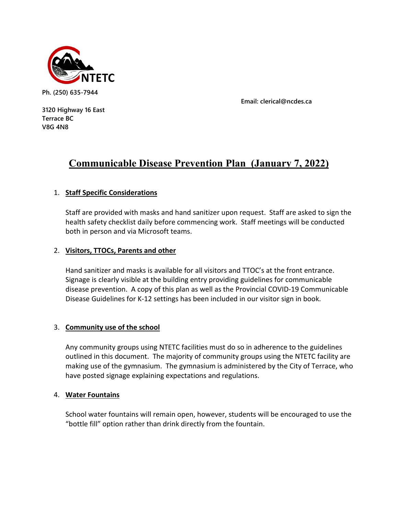

**Email: clerical@ncdes.ca**

**3120 Highway 16 East Terrace BC V8G 4N8**

# **Communicable Disease Prevention Plan (January 7, 2022)**

# 1. **Staff Specific Considerations**

Staff are provided with masks and hand sanitizer upon request. Staff are asked to sign the health safety checklist daily before commencing work. Staff meetings will be conducted both in person and via Microsoft teams.

# 2. **Visitors, TTOCs, Parents and other**

Hand sanitizer and masks is available for all visitors and TTOC's at the front entrance. Signage is clearly visible at the building entry providing guidelines for communicable disease prevention. A copy of this plan as well as the Provincial COVID-19 Communicable Disease Guidelines for K-12 settings has been included in our visitor sign in book.

# 3. **Community use of the school**

Any community groups using NTETC facilities must do so in adherence to the guidelines outlined in this document. The majority of community groups using the NTETC facility are making use of the gymnasium. The gymnasium is administered by the City of Terrace, who have posted signage explaining expectations and regulations.

## 4. **Water Fountains**

School water fountains will remain open, however, students will be encouraged to use the "bottle fill" option rather than drink directly from the fountain.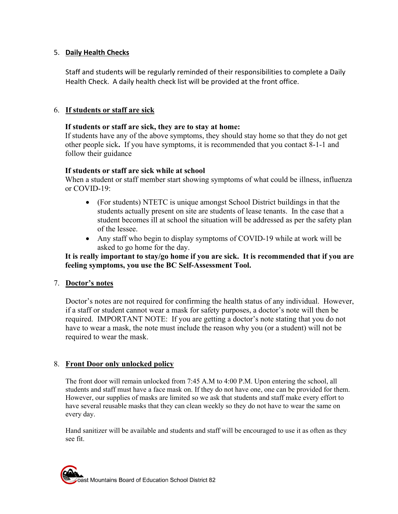# 5. **Daily Health Checks**

Staff and students will be regularly reminded of their responsibilities to complete a Daily Health Check. A daily health check list will be provided at the front office.

# 6. **If students or staff are sick**

## **If students or staff are sick, they are to stay at home:**

If students have any of the above symptoms, they should stay home so that they do not get other people sick**.** If you have symptoms, it is recommended that you contact 8-1-1 and follow their guidance

## **If students or staff are sick while at school**

When a student or staff member start showing symptoms of what could be illness, influenza or COVID-19:

- (For students) NTETC is unique amongst School District buildings in that the students actually present on site are students of lease tenants. In the case that a student becomes ill at school the situation will be addressed as per the safety plan of the lessee.
- Any staff who begin to display symptoms of COVID-19 while at work will be asked to go home for the day.

## **It is really important to stay/go home if you are sick. It is recommended that if you are feeling symptoms, you use the BC Self-Assessment Tool.**

## 7. **Doctor's notes**

Doctor's notes are not required for confirming the health status of any individual. However, if a staff or student cannot wear a mask for safety purposes, a doctor's note will then be required. IMPORTANT NOTE: If you are getting a doctor's note stating that you do not have to wear a mask, the note must include the reason why you (or a student) will not be required to wear the mask.

## 8. **Front Door only unlocked policy**

The front door will remain unlocked from 7:45 A.M to 4:00 P.M. Upon entering the school, all students and staff must have a face mask on. If they do not have one, one can be provided for them. However, our supplies of masks are limited so we ask that students and staff make every effort to have several reusable masks that they can clean weekly so they do not have to wear the same on every day.

Hand sanitizer will be available and students and staff will be encouraged to use it as often as they see fit.